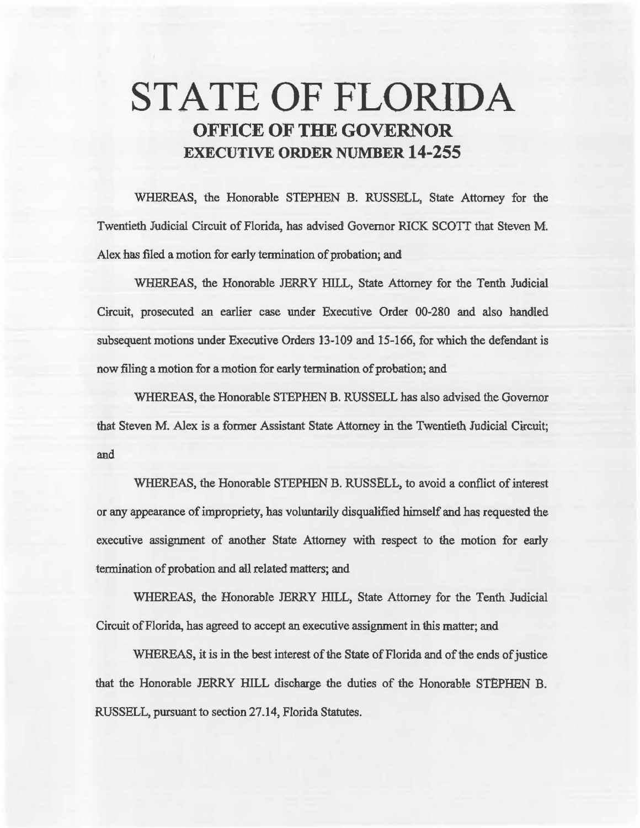# **STATE OF FLORIDA OFFICE OF THE GOVERNOR EXECUTIVE ORDER NUMBER 14-255**

WHEREAS, the Honorable STEPHEN B. RUSSELL, State Attorney for the Twentieth Judicial Circuit of Florida, has advised Governor RICK SCOTI that Steven M. Alex has filed a motion for early termination of probation; and

WHEREAS, the Honorable JERRY HILL, State Attorney for the Tenth Judicial Circuit, prosecuted an earlier case under Executive Order 00-280 and also handled subsequent motions under Executive Orders 13-109 and 15-166, for which the defendant is now filing a motion for a motion for early termination of probation; and

WHEREAS, the Honorable STEPHEN B. RUSSELL has also advised the Governor that Steven M. Alex is a former Assistant State Attorney in the Twentieth Judicial Circuit; and

WHEREAS, the Honorable STEPHEN B. RUSSELL, to avoid a conflict of interest or any appearance of impropriety, has voluntarily disqualified himself and has requested the executive assignment of another State Attorney with respect to the motion for early termination of probation and all related matters; and

WHEREAS, the Honorable JERRY HILL, State Attorney for the Tenth Judicial Circuit of Florida, has agreed to accept an executive assignment in this matter; and

WHEREAS, it is in the best interest of the State of Florida and of the ends of justice that the Honorable JERRY HILL discharge the duties of the Honorable STEPHEN B. RUSSELL, pursuant to section 27.14, Florida Statutes.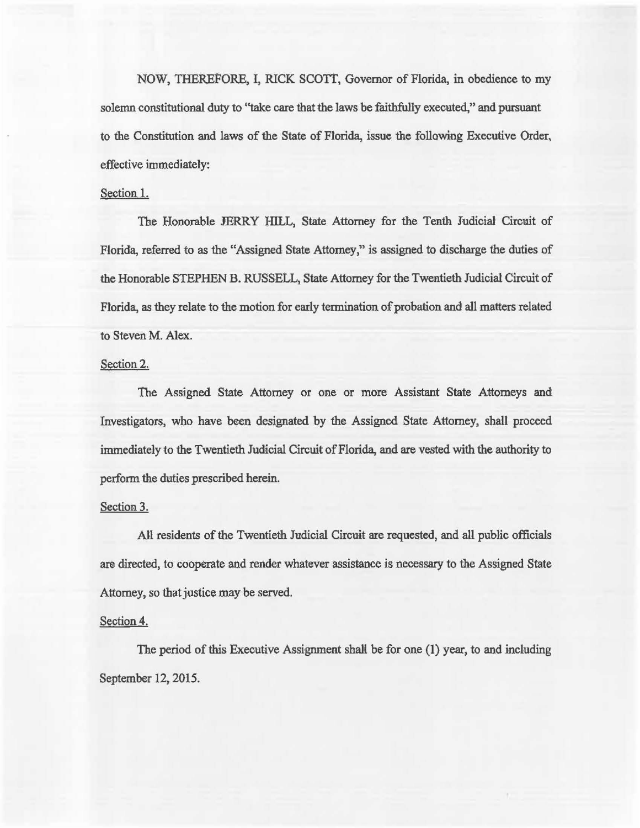NOW, THEREFORE, I, RICK SCOTT, Governor of Florida, in obedience to my solemn constitutional duty to ''take care that the laws be faithfully execated," and pursuant to the Constitution and laws of the State of Florida, issue the following Executive Order, effective immediately:

#### Section 1.

The Honorable JERRY HILL, State Attorney for the Tenth Judicial Circuit of Florida, referred to as the "Assigned State Attorney," is assigned to discharge the duties of the Honorable STEPHEN B. RUSSELL, State Attorney for the Twentieth Judicial Circuit of Florida, as they relate to the motion for early termination of probation and all matters related to Steven M. Alex.

### Section 2.

The Assigned State Attorney or one or more Assistant State Attorneys and Investigators, who have been designated by the Assigned State Attorney, shall proceed immediately to the Twentieth Judicial Circuit of Florida, and are vested with the authority to perform the duties prescribed herein.

#### Section 3.

All residents of the Twentieth Judicial Circuit are requested, and all public officials are directed, to cooperate and render whatever assistance is necessary to the Assigned State Attorney, so that justice may be served.

#### Section 4.

The period of this Executive Assignment shall be for one (1) year, to and including September 12, 2015.